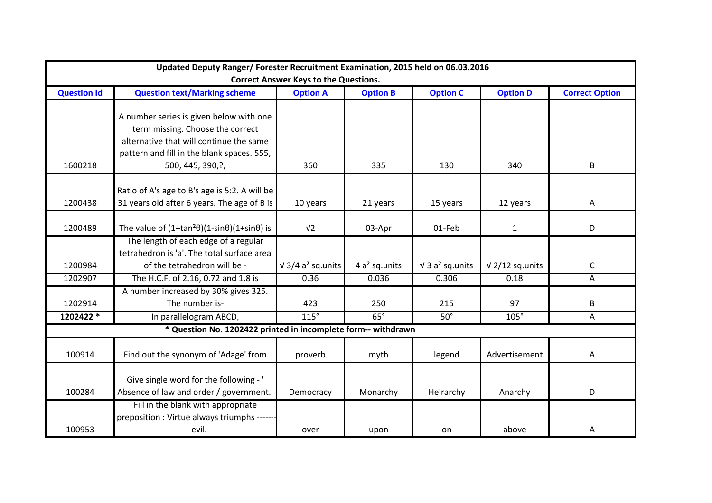| Updated Deputy Ranger/ Forester Recruitment Examination, 2015 held on 06.03.2016<br><b>Correct Answer Keys to the Questions.</b> |                                                                                                                                                                                           |                                      |                 |                         |                        |                       |  |  |
|----------------------------------------------------------------------------------------------------------------------------------|-------------------------------------------------------------------------------------------------------------------------------------------------------------------------------------------|--------------------------------------|-----------------|-------------------------|------------------------|-----------------------|--|--|
| <b>Question Id</b>                                                                                                               | <b>Question text/Marking scheme</b>                                                                                                                                                       | <b>Option A</b>                      | <b>Option B</b> | <b>Option C</b>         | <b>Option D</b>        | <b>Correct Option</b> |  |  |
| 1600218                                                                                                                          | A number series is given below with one<br>term missing. Choose the correct<br>alternative that will continue the same<br>pattern and fill in the blank spaces. 555,<br>500, 445, 390, ?, | 360                                  | 335             | 130                     | 340                    | B                     |  |  |
| 1200438                                                                                                                          | Ratio of A's age to B's age is 5:2. A will be<br>31 years old after 6 years. The age of B is                                                                                              | 10 years                             | 21 years        | 15 years                | 12 years               | A                     |  |  |
| 1200489                                                                                                                          | The value of $(1+tan^2\theta)(1-sin\theta)(1+sin\theta)$ is                                                                                                                               | V <sub>2</sub>                       | 03-Apr          | 01-Feb                  | $\mathbf{1}$           | D                     |  |  |
| 1200984                                                                                                                          | The length of each edge of a regular<br>tetrahedron is 'a'. The total surface area<br>of the tetrahedron will be -                                                                        | $\sqrt{3}/4$ a <sup>2</sup> sq.units | 4 $a2$ sq.units | $\sqrt{3} a^2$ sq.units | $\sqrt{2}/12$ sq.units | $\mathsf C$           |  |  |
| 1202907                                                                                                                          | The H.C.F. of 2.16, 0.72 and 1.8 is                                                                                                                                                       | 0.36                                 | 0.036           | 0.306                   | 0.18                   | A                     |  |  |
| 1202914                                                                                                                          | A number increased by 30% gives 325.<br>The number is-                                                                                                                                    | 423                                  | 250             | 215                     | 97                     | B                     |  |  |
| 1202422 *                                                                                                                        | In parallelogram ABCD,                                                                                                                                                                    | $115^\circ$                          | $65^\circ$      | $50^\circ$              | $105^\circ$            | A                     |  |  |
|                                                                                                                                  | * Question No. 1202422 printed in incomplete form-- withdrawn                                                                                                                             |                                      |                 |                         |                        |                       |  |  |
| 100914                                                                                                                           | Find out the synonym of 'Adage' from                                                                                                                                                      | proverb                              | myth            | legend                  | Advertisement          | A                     |  |  |
| 100284                                                                                                                           | Give single word for the following - '<br>Absence of law and order / government.'                                                                                                         | Democracy                            | Monarchy        | Heirarchy               | Anarchy                | D                     |  |  |
| 100953                                                                                                                           | Fill in the blank with appropriate<br>preposition : Virtue always triumphs ------<br>-- evil.                                                                                             | over                                 | upon            | on                      | above                  | Α                     |  |  |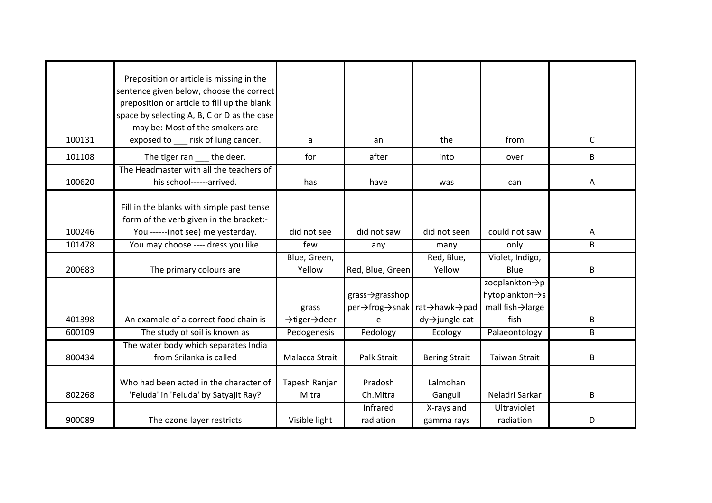| 100131 | Preposition or article is missing in the<br>sentence given below, choose the correct<br>preposition or article to fill up the blank<br>space by selecting A, B, C or D as the case<br>may be: Most of the smokers are<br>exposed to ___ risk of lung cancer. |                                                 | an                                                 | the                                                                     | from                                                                         | $\mathsf C$ |
|--------|--------------------------------------------------------------------------------------------------------------------------------------------------------------------------------------------------------------------------------------------------------------|-------------------------------------------------|----------------------------------------------------|-------------------------------------------------------------------------|------------------------------------------------------------------------------|-------------|
|        |                                                                                                                                                                                                                                                              | a                                               |                                                    |                                                                         |                                                                              |             |
| 101108 | The tiger ran<br>the deer.                                                                                                                                                                                                                                   | for                                             | after                                              | into                                                                    | over                                                                         | B           |
| 100620 | The Headmaster with all the teachers of<br>his school------arrived.                                                                                                                                                                                          | has                                             | have                                               | was                                                                     | can                                                                          | Α           |
| 100246 | Fill in the blanks with simple past tense<br>form of the verb given in the bracket:-<br>You ------ (not see) me yesterday.                                                                                                                                   | did not see                                     | did not saw                                        | did not seen                                                            | could not saw                                                                | A           |
| 101478 | You may choose ---- dress you like.                                                                                                                                                                                                                          | few                                             | any                                                | many                                                                    | only                                                                         | B           |
| 200683 | The primary colours are                                                                                                                                                                                                                                      | Blue, Green,<br>Yellow                          | Red, Blue, Green                                   | Red, Blue,<br>Yellow                                                    | Violet, Indigo,<br>Blue                                                      | B           |
| 401398 | An example of a correct food chain is                                                                                                                                                                                                                        | grass<br>$\rightarrow$ tiger $\rightarrow$ deer | $grass \rightarrow grasshop$<br>per→frog→snak<br>e | rat $\rightarrow$ hawk $\rightarrow$ pad<br>$dy \rightarrow$ jungle cat | zooplankton->p<br>hytoplankton -> s<br>mall fish $\rightarrow$ large<br>fish | $\sf B$     |
| 600109 | The study of soil is known as                                                                                                                                                                                                                                | Pedogenesis                                     | Pedology                                           | Ecology                                                                 | Palaeontology                                                                | B           |
| 800434 | The water body which separates India<br>from Srilanka is called                                                                                                                                                                                              | Malacca Strait                                  | Palk Strait                                        | <b>Bering Strait</b>                                                    | <b>Taiwan Strait</b>                                                         | B           |
| 802268 | Who had been acted in the character of<br>'Feluda' in 'Feluda' by Satyajit Ray?                                                                                                                                                                              | Tapesh Ranjan<br>Mitra                          | Pradosh<br>Ch.Mitra                                | Lalmohan<br>Ganguli                                                     | Neladri Sarkar                                                               | B           |
| 900089 | The ozone layer restricts                                                                                                                                                                                                                                    | Visible light                                   | Infrared<br>radiation                              | X-rays and<br>gamma rays                                                | <b>Ultraviolet</b><br>radiation                                              | D           |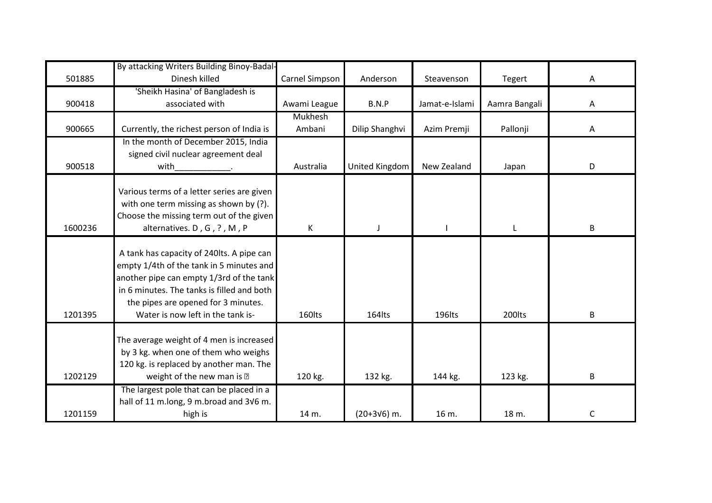|         | By attacking Writers Building Binoy-Badal-                                          |                |                     |                |               |   |
|---------|-------------------------------------------------------------------------------------|----------------|---------------------|----------------|---------------|---|
| 501885  | Dinesh killed                                                                       | Carnel Simpson | Anderson            | Steavenson     | <b>Tegert</b> | Α |
|         | 'Sheikh Hasina' of Bangladesh is                                                    |                |                     |                |               |   |
| 900418  | associated with                                                                     | Awami League   | B.N.P               | Jamat-e-Islami | Aamra Bangali | A |
|         |                                                                                     | <b>Mukhesh</b> |                     |                |               |   |
| 900665  | Currently, the richest person of India is                                           | Ambani         | Dilip Shanghvi      | Azim Premji    | Pallonji      | Α |
|         | In the month of December 2015, India                                                |                |                     |                |               |   |
|         | signed civil nuclear agreement deal                                                 |                |                     |                |               |   |
| 900518  | with                                                                                | Australia      | United Kingdom      | New Zealand    | Japan         | D |
|         |                                                                                     |                |                     |                |               |   |
|         | Various terms of a letter series are given                                          |                |                     |                |               |   |
|         | with one term missing as shown by (?).                                              |                |                     |                |               |   |
|         | Choose the missing term out of the given                                            |                |                     |                |               |   |
| 1600236 | alternatives. D, G, ?, M, P                                                         | K              | $\mathbf{I}$        |                | $\mathsf{L}$  | B |
|         |                                                                                     |                |                     |                |               |   |
|         | A tank has capacity of 240lts. A pipe can                                           |                |                     |                |               |   |
|         | empty 1/4th of the tank in 5 minutes and                                            |                |                     |                |               |   |
|         | another pipe can empty 1/3rd of the tank                                            |                |                     |                |               |   |
|         | in 6 minutes. The tanks is filled and both                                          |                |                     |                |               |   |
| 1201395 | the pipes are opened for 3 minutes.<br>Water is now left in the tank is-            | 160lts         | 164lts              | 196lts         | 200lts        | B |
|         |                                                                                     |                |                     |                |               |   |
|         | The average weight of 4 men is increased                                            |                |                     |                |               |   |
|         | by 3 kg. when one of them who weighs                                                |                |                     |                |               |   |
|         | 120 kg. is replaced by another man. The                                             |                |                     |                |               |   |
| 1202129 | weight of the new man is $-$                                                        |                | 132 kg.             | 144 kg.        | 123 kg.       | B |
|         |                                                                                     | 120 kg.        |                     |                |               |   |
|         | The largest pole that can be placed in a<br>hall of 11 m.long, 9 m.broad and 3V6 m. |                |                     |                |               |   |
| 1201159 | high is                                                                             | 14 m.          | $(20+3\sqrt{6})$ m. | 16 m.          | 18 m.         | C |
|         |                                                                                     |                |                     |                |               |   |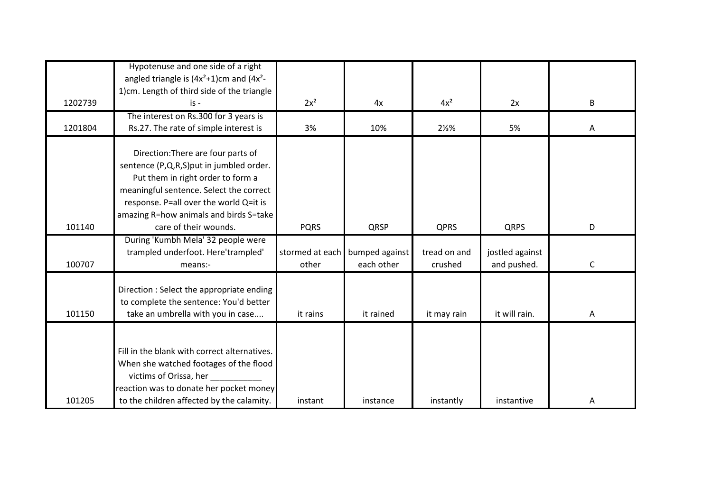|         | Hypotenuse and one side of a right                                                                                                                                                                                                                |                          |                              |                         |                                |             |
|---------|---------------------------------------------------------------------------------------------------------------------------------------------------------------------------------------------------------------------------------------------------|--------------------------|------------------------------|-------------------------|--------------------------------|-------------|
|         | angled triangle is $(4x^2+1)$ cm and $(4x^2-$                                                                                                                                                                                                     |                          |                              |                         |                                |             |
|         | 1)cm. Length of third side of the triangle                                                                                                                                                                                                        |                          |                              |                         |                                |             |
| 1202739 | is -                                                                                                                                                                                                                                              | $2x^2$                   | 4x                           | $4x^2$                  | 2x                             | B           |
|         | The interest on Rs.300 for 3 years is                                                                                                                                                                                                             |                          |                              |                         |                                |             |
| 1201804 | Rs.27. The rate of simple interest is                                                                                                                                                                                                             | 3%                       | 10%                          | $2\frac{1}{3}$ %        | 5%                             | Α           |
|         | Direction: There are four parts of<br>sentence (P,Q,R,S)put in jumbled order.<br>Put them in right order to form a<br>meaningful sentence. Select the correct<br>response. P=all over the world Q=it is<br>amazing R=how animals and birds S=take |                          |                              |                         |                                |             |
| 101140  | care of their wounds.                                                                                                                                                                                                                             | <b>PQRS</b>              | QRSP                         | <b>QPRS</b>             | <b>QRPS</b>                    | D           |
| 100707  | During 'Kumbh Mela' 32 people were<br>trampled underfoot. Here'trampled'<br>means:-                                                                                                                                                               | stormed at each<br>other | bumped against<br>each other | tread on and<br>crushed | jostled against<br>and pushed. | $\mathsf C$ |
| 101150  | Direction : Select the appropriate ending<br>to complete the sentence: You'd better<br>take an umbrella with you in case                                                                                                                          | it rains                 | it rained                    | it may rain             | it will rain.                  | Α           |
| 101205  | Fill in the blank with correct alternatives.<br>When she watched footages of the flood<br>victims of Orissa, her<br>reaction was to donate her pocket money<br>to the children affected by the calamity.                                          | instant                  | instance                     | instantly               | instantive                     | Α           |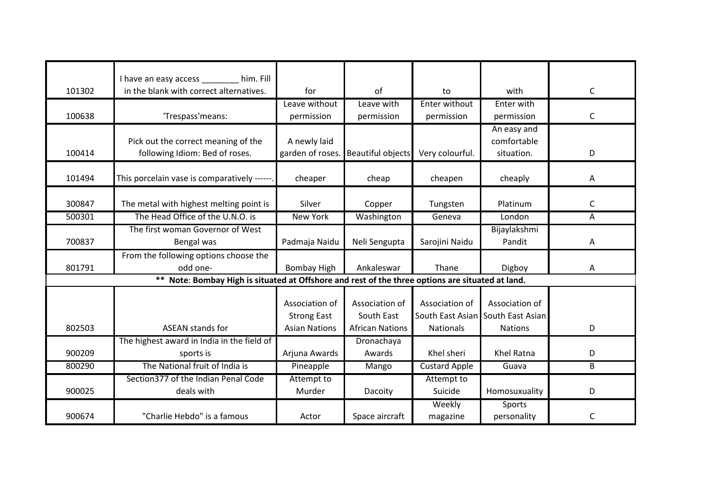|        | I have an easy access _______ him. Fill                                                          |                      |                          |                      |                  |              |
|--------|--------------------------------------------------------------------------------------------------|----------------------|--------------------------|----------------------|------------------|--------------|
| 101302 | in the blank with correct alternatives.                                                          | for                  | of                       | to                   | with             | C            |
|        |                                                                                                  | Leave without        | Leave with               | Enter without        | Enter with       |              |
| 100638 | 'Trespass'means:                                                                                 | permission           | permission               | permission           | permission       | C            |
|        |                                                                                                  |                      |                          |                      | An easy and      |              |
|        | Pick out the correct meaning of the                                                              | A newly laid         |                          |                      | comfortable      |              |
| 100414 | following Idiom: Bed of roses.                                                                   | garden of roses.     | <b>Beautiful objects</b> | Very colourful.      | situation.       | D            |
|        |                                                                                                  |                      |                          |                      |                  |              |
| 101494 | This porcelain vase is comparatively ------.                                                     | cheaper              | cheap                    | cheapen              | cheaply          | A            |
| 300847 | The metal with highest melting point is                                                          | Silver               | Copper                   | Tungsten             | Platinum         | C            |
|        |                                                                                                  |                      |                          |                      |                  |              |
| 500301 | The Head Office of the U.N.O. is                                                                 | <b>New York</b>      | Washington               | Geneva               | London           | Α            |
|        | The first woman Governor of West                                                                 |                      |                          |                      | Bijaylakshmi     |              |
| 700837 | Bengal was                                                                                       | Padmaja Naidu        | Neli Sengupta            | Sarojini Naidu       | Pandit           | A            |
|        | From the following options choose the                                                            |                      |                          |                      |                  |              |
| 801791 | odd one-                                                                                         | <b>Bombay High</b>   | Ankaleswar               | Thane                | Digboy           | A            |
|        | ** Note: Bombay High is situated at Offshore and rest of the three options are situated at land. |                      |                          |                      |                  |              |
|        |                                                                                                  |                      |                          |                      |                  |              |
|        |                                                                                                  | Association of       | Association of           | Association of       | Association of   |              |
|        |                                                                                                  | <b>Strong East</b>   | South East               | South East Asian     | South East Asian |              |
| 802503 | <b>ASEAN stands for</b>                                                                          | <b>Asian Nations</b> | <b>African Nations</b>   | <b>Nationals</b>     | <b>Nations</b>   | D            |
|        | The highest award in India in the field of                                                       |                      | Dronachaya               |                      |                  |              |
| 900209 | sports is                                                                                        | Arjuna Awards        | Awards                   | Khel sheri           | Khel Ratna       | D            |
| 800290 | The National fruit of India is                                                                   | Pineapple            | Mango                    | <b>Custard Apple</b> | Guava            | B            |
|        | Section377 of the Indian Penal Code                                                              | Attempt to           |                          | Attempt to           |                  |              |
| 900025 | deals with                                                                                       | Murder               | Dacoity                  | Suicide              | Homosuxuality    | D            |
|        |                                                                                                  |                      |                          | Weekly               | Sports           |              |
| 900674 | "Charlie Hebdo" is a famous                                                                      | Actor                | Space aircraft           | magazine             | personality      | $\mathsf{C}$ |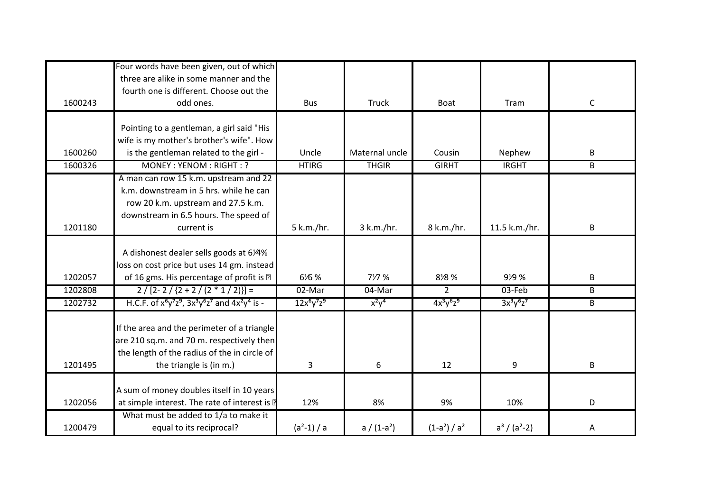|         | Four words have been given, out of which<br>three are alike in some manner and the     |               |                |                 |                   |                |
|---------|----------------------------------------------------------------------------------------|---------------|----------------|-----------------|-------------------|----------------|
|         | fourth one is different. Choose out the                                                |               |                |                 |                   |                |
| 1600243 | odd ones.                                                                              | <b>Bus</b>    | Truck          | Boat            | Tram              | $\mathsf{C}$   |
|         |                                                                                        |               |                |                 |                   |                |
|         | Pointing to a gentleman, a girl said "His<br>wife is my mother's brother's wife". How  |               |                |                 |                   |                |
| 1600260 | is the gentleman related to the girl -                                                 | Uncle         | Maternal uncle | Cousin          | Nephew            | B              |
| 1600326 | MONEY: YENOM: RIGHT: ?                                                                 | <b>HTIRG</b>  | <b>THGIR</b>   | <b>GIRHT</b>    | <b>IRGHT</b>      | B              |
|         | A man can row 15 k.m. upstream and 22                                                  |               |                |                 |                   |                |
|         | k.m. downstream in 5 hrs. while he can                                                 |               |                |                 |                   |                |
|         | row 20 k.m. upstream and 27.5 k.m.                                                     |               |                |                 |                   |                |
|         | downstream in 6.5 hours. The speed of                                                  |               |                |                 |                   |                |
| 1201180 | current is                                                                             | 5 k.m./hr.    | 3 k.m./hr.     | 8 k.m./hr.      | 11.5 k.m./hr.     | B              |
|         |                                                                                        |               |                |                 |                   |                |
|         | A dishonest dealer sells goods at 61/4%                                                |               |                |                 |                   |                |
| 1202057 | loss on cost price but uses 14 gm. instead<br>of 16 gms. His percentage of profit is - | 616 %         | 717 %          | 818 %           | 919 %             | B              |
| 1202808 | $2/[2-2/[2+2/(2*1/2)]]=$                                                               | $02$ -Mar     | 04-Mar         | $\overline{2}$  | 03-Feb            | $\overline{B}$ |
| 1202732 | H.C.F. of $x^6y^7z^9$ , $3x^3y^6z^7$ and $4x^2y^4$ is -                                | $12x^6y^7z^9$ | $x^2y^4$       | $4x^3y^6z^9$    | $3x^3y^6z^7$      | $\overline{B}$ |
|         |                                                                                        |               |                |                 |                   |                |
|         | If the area and the perimeter of a triangle                                            |               |                |                 |                   |                |
|         | are 210 sq.m. and 70 m. respectively then                                              |               |                |                 |                   |                |
|         | the length of the radius of the in circle of                                           |               |                |                 |                   |                |
| 1201495 | the triangle is (in m.)                                                                | 3             | 6              | 12              | 9                 | B              |
|         |                                                                                        |               |                |                 |                   |                |
|         | A sum of money doubles itself in 10 years                                              |               |                |                 |                   |                |
| 1202056 | at simple interest. The rate of interest is -                                          | 12%           | 8%             | 9%              | 10%               | D              |
| 1200479 | What must be added to 1/a to make it<br>equal to its reciprocal?                       | $(a^2-1)/a$   | $a / (1-a^2)$  | $(1-a^2) / a^2$ | $a^3 / (a^2 - 2)$ | Α              |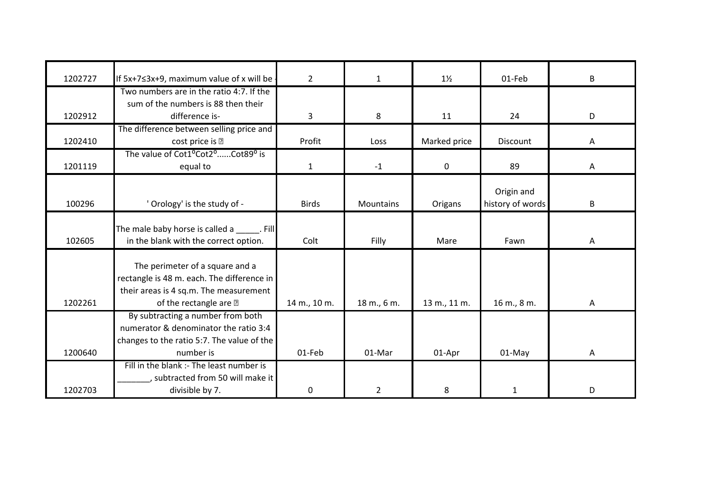| 1202727 | If 5x+7≤3x+9, maximum value of x will be                               | $\overline{2}$ | $\mathbf{1}$     | $1\frac{1}{2}$ | 01-Feb           | B |
|---------|------------------------------------------------------------------------|----------------|------------------|----------------|------------------|---|
|         | Two numbers are in the ratio 4:7. If the                               |                |                  |                |                  |   |
|         | sum of the numbers is 88 then their                                    |                |                  |                |                  |   |
| 1202912 | difference is-                                                         | 3              | 8                | 11             | 24               | D |
|         | The difference between selling price and                               |                |                  |                |                  |   |
| 1202410 |                                                                        | Profit         |                  |                | Discount         |   |
|         | cost price is $-$                                                      |                | Loss             | Marked price   |                  | Α |
|         | The value of Cot1 <sup>o</sup> Cot2 <sup>o</sup> Cot89 <sup>o</sup> is |                |                  |                |                  |   |
| 1201119 | equal to                                                               | 1              | $-1$             | $\mathbf 0$    | 89               | A |
|         |                                                                        |                |                  |                |                  |   |
|         |                                                                        |                |                  |                | Origin and       |   |
| 100296  | ' Orology' is the study of -                                           | <b>Birds</b>   | <b>Mountains</b> | Origans        | history of words | B |
|         |                                                                        |                |                  |                |                  |   |
|         | The male baby horse is called a Fill                                   |                |                  |                |                  |   |
| 102605  | in the blank with the correct option.                                  | Colt           | Filly            | Mare           | Fawn             | Α |
|         |                                                                        |                |                  |                |                  |   |
|         | The perimeter of a square and a                                        |                |                  |                |                  |   |
|         | rectangle is 48 m. each. The difference in                             |                |                  |                |                  |   |
|         | their areas is 4 sq.m. The measurement                                 |                |                  |                |                  |   |
| 1202261 | of the rectangle are $-$                                               | 14 m., 10 m.   | 18 m., 6 m.      | 13 m., 11 m.   | 16 m., 8 m.      | Α |
|         | By subtracting a number from both                                      |                |                  |                |                  |   |
|         | numerator & denominator the ratio 3:4                                  |                |                  |                |                  |   |
|         | changes to the ratio 5:7. The value of the                             |                |                  |                |                  |   |
| 1200640 | number is                                                              | 01-Feb         | 01-Mar           | 01-Apr         | 01-May           | А |
|         | Fill in the blank :- The least number is                               |                |                  |                |                  |   |
|         | , subtracted from 50 will make it                                      |                |                  |                |                  |   |
| 1202703 | divisible by 7.                                                        | 0              | $\overline{2}$   | 8              | $\mathbf{1}$     | D |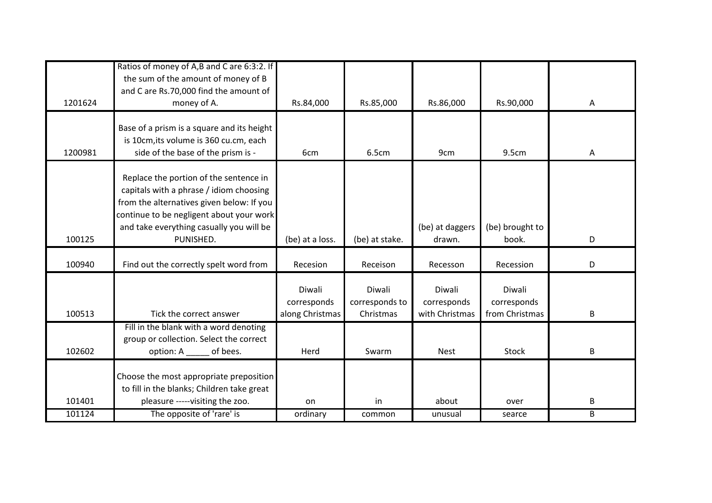|         | Ratios of money of A,B and C are 6:3:2. If<br>the sum of the amount of money of B<br>and C are Rs.70,000 find the amount of                                                                                                         |                                          |                                       |                                         |                                         |   |
|---------|-------------------------------------------------------------------------------------------------------------------------------------------------------------------------------------------------------------------------------------|------------------------------------------|---------------------------------------|-----------------------------------------|-----------------------------------------|---|
| 1201624 | money of A.                                                                                                                                                                                                                         | Rs.84,000                                | Rs.85,000                             | Rs.86,000                               | Rs.90,000                               | Α |
| 1200981 | Base of a prism is a square and its height<br>is 10cm, its volume is 360 cu.cm, each<br>side of the base of the prism is -                                                                                                          | 6cm                                      | 6.5cm                                 | 9cm                                     | 9.5cm                                   | Α |
| 100125  | Replace the portion of the sentence in<br>capitals with a phrase / idiom choosing<br>from the alternatives given below: If you<br>continue to be negligent about your work<br>and take everything casually you will be<br>PUNISHED. | (be) at a loss.                          | (be) at stake.                        | (be) at daggers<br>drawn.               | (be) brought to<br>book.                | D |
| 100940  | Find out the correctly spelt word from                                                                                                                                                                                              | Recesion                                 | Receison                              | Recesson                                | Recession                               | D |
| 100513  | Tick the correct answer                                                                                                                                                                                                             | Diwali<br>corresponds<br>along Christmas | Diwali<br>corresponds to<br>Christmas | Diwali<br>corresponds<br>with Christmas | Diwali<br>corresponds<br>from Christmas | B |
| 102602  | Fill in the blank with a word denoting<br>group or collection. Select the correct<br>of bees.<br>option: A                                                                                                                          | Herd                                     | Swarm                                 | <b>Nest</b>                             | <b>Stock</b>                            | B |
| 101401  | Choose the most appropriate preposition<br>to fill in the blanks; Children take great<br>pleasure -----visiting the zoo.                                                                                                            | on                                       | in                                    | about                                   | over                                    | B |
| 101124  | The opposite of 'rare' is                                                                                                                                                                                                           | ordinary                                 | common                                | unusual                                 | searce                                  | B |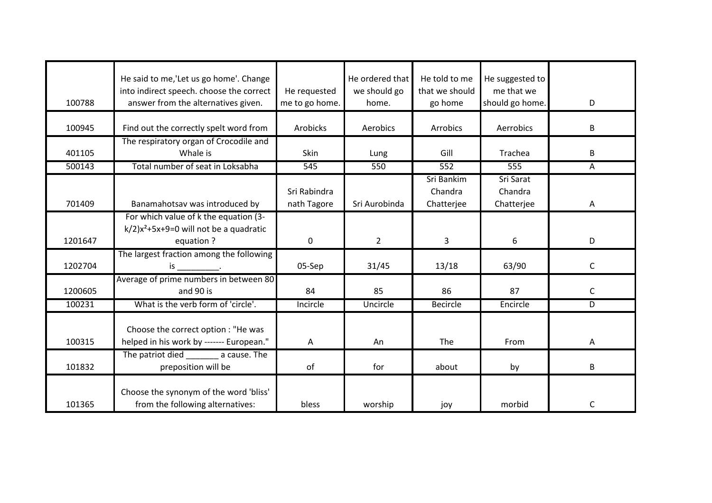|         | He said to me, 'Let us go home'. Change      |                 | He ordered that | He told to me   | He suggested to |              |
|---------|----------------------------------------------|-----------------|-----------------|-----------------|-----------------|--------------|
|         | into indirect speech. choose the correct     | He requested    | we should go    | that we should  | me that we      |              |
| 100788  | answer from the alternatives given.          | me to go home.  | home.           | go home         | should go home. | D            |
|         |                                              |                 |                 |                 |                 |              |
| 100945  | Find out the correctly spelt word from       | <b>Arobicks</b> | Aerobics        | Arrobics        | Aerrobics       | B            |
|         | The respiratory organ of Crocodile and       |                 |                 |                 |                 |              |
| 401105  | Whale is                                     | Skin            | Lung            | Gill            | Trachea         | B            |
| 500143  | Total number of seat in Loksabha             | 545             | 550             | 552             | 555             | А            |
|         |                                              |                 |                 | Sri Bankim      | Sri Sarat       |              |
|         |                                              | Sri Rabindra    |                 | Chandra         | Chandra         |              |
| 701409  | Banamahotsav was introduced by               | nath Tagore     | Sri Aurobinda   | Chatterjee      | Chatterjee      | Α            |
|         | For which value of k the equation (3-        |                 |                 |                 |                 |              |
|         | $k/2$ ) $x^2+5x+9=0$ will not be a quadratic |                 |                 |                 |                 |              |
| 1201647 | equation ?                                   | $\mathbf 0$     | $\overline{2}$  | 3               | 6               | D            |
|         | The largest fraction among the following     |                 |                 |                 |                 |              |
| 1202704 | $is_$                                        | 05-Sep          | 31/45           | 13/18           | 63/90           | C            |
|         | Average of prime numbers in between 80       |                 |                 |                 |                 |              |
| 1200605 | and 90 is                                    | 84              | 85              | 86              | 87              | C            |
| 100231  | What is the verb form of 'circle'.           | Incircle        | Uncircle        | <b>Becircle</b> | Encircle        | D            |
|         |                                              |                 |                 |                 |                 |              |
|         | Choose the correct option : "He was          |                 |                 |                 |                 |              |
| 100315  | helped in his work by ------- European."     | Α               | An              | The             | From            | Α            |
|         | The patriot died a cause. The                |                 |                 |                 |                 |              |
| 101832  | preposition will be                          | of              | for             | about           | by              | B            |
|         |                                              |                 |                 |                 |                 |              |
|         | Choose the synonym of the word 'bliss'       |                 |                 |                 |                 |              |
| 101365  | from the following alternatives:             | bless           | worship         | joy             | morbid          | $\mathsf{C}$ |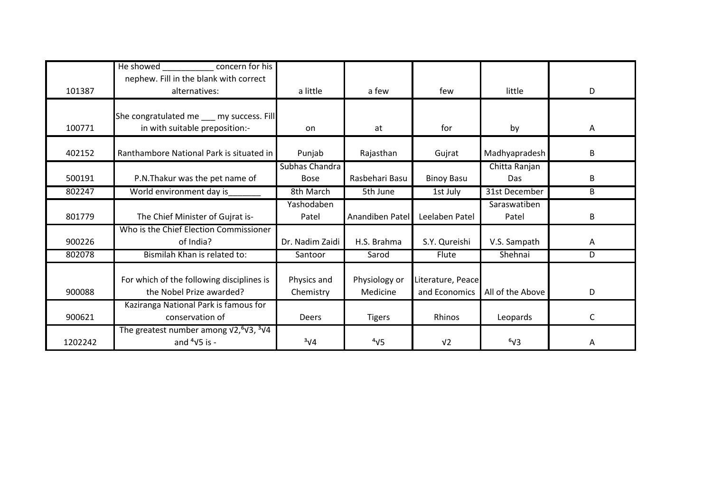|         | He showed<br>concern for his<br>nephew. Fill in the blank with correct                       |                               |                           |                                    |                       |   |
|---------|----------------------------------------------------------------------------------------------|-------------------------------|---------------------------|------------------------------------|-----------------------|---|
| 101387  | alternatives:                                                                                | a little                      | a few                     | few                                | little                | D |
| 100771  | She congratulated me __ my success. Fill<br>in with suitable preposition:-                   | on                            | at                        | for                                | by                    | Α |
| 402152  | Ranthambore National Park is situated in                                                     | Punjab                        | Rajasthan                 | Gujrat                             | Madhyapradesh         | B |
| 500191  | P.N. Thakur was the pet name of                                                              | Subhas Chandra<br><b>Bose</b> | Rasbehari Basu            | <b>Binoy Basu</b>                  | Chitta Ranjan<br>Das  | B |
| 802247  | World environment day is                                                                     | 8th March                     | 5th June                  | 1st July                           | 31st December         | B |
| 801779  | The Chief Minister of Gujrat is-                                                             | Yashodaben<br>Patel           | Anandiben Patel           | Leelaben Patel                     | Saraswatiben<br>Patel | B |
| 900226  | Who is the Chief Election Commissioner<br>of India?                                          | Dr. Nadim Zaidi               | H.S. Brahma               | S.Y. Qureishi                      | V.S. Sampath          | Α |
| 802078  | Bismilah Khan is related to:                                                                 | Santoor                       | Sarod                     | Flute                              | Shehnai               | D |
| 900088  | For which of the following disciplines is<br>the Nobel Prize awarded?                        | Physics and<br>Chemistry      | Physiology or<br>Medicine | Literature, Peace<br>and Economics | All of the Above      | D |
| 900621  | Kaziranga National Park is famous for<br>conservation of                                     | Deers                         | <b>Tigers</b>             | Rhinos                             | Leopards              | C |
| 1202242 | The greatest number among $\sqrt{2}$ , $\sqrt[3]{3}$ , $\sqrt[3]{4}$<br>and $4\sqrt{5}$ is - | $3\sqrt{4}$                   | $4\sqrt{5}$               | V <sub>2</sub>                     | $6\sqrt{3}$           | Α |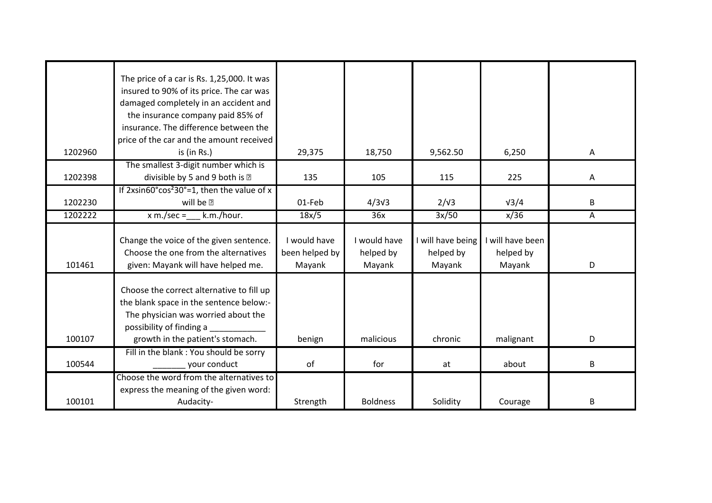|         | The price of a car is Rs. 1,25,000. It was                     |                |                  |                   |                  |   |
|---------|----------------------------------------------------------------|----------------|------------------|-------------------|------------------|---|
|         | insured to 90% of its price. The car was                       |                |                  |                   |                  |   |
|         | damaged completely in an accident and                          |                |                  |                   |                  |   |
|         | the insurance company paid 85% of                              |                |                  |                   |                  |   |
|         | insurance. The difference between the                          |                |                  |                   |                  |   |
|         | price of the car and the amount received                       |                |                  |                   |                  |   |
| 1202960 | is (in Rs.)                                                    | 29,375         | 18,750           | 9,562.50          | 6,250            | Α |
|         | The smallest 3-digit number which is                           |                |                  |                   |                  |   |
| 1202398 | divisible by 5 and 9 both is $-$                               | 135            | 105              | 115               | 225              | A |
|         | If $2x\sin 60^\circ \cos^2 30^\circ = 1$ , then the value of x |                |                  |                   |                  |   |
| 1202230 | will be $-$                                                    | 01-Feb         | 4/3 <sup>3</sup> | $2/\sqrt{3}$      | $\sqrt{3}/4$     | B |
| 1202222 | $x \text{ m./sec} =$<br>k.m./hour.                             | 18x/5          | 36x              | 3x/50             | x/36             | A |
|         |                                                                |                |                  |                   |                  |   |
|         | Change the voice of the given sentence.                        | I would have   | I would have     | I will have being | I will have been |   |
|         | Choose the one from the alternatives                           | been helped by | helped by        | helped by         | helped by        |   |
| 101461  | given: Mayank will have helped me.                             | Mayank         | Mayank           | Mayank            | Mayank           |   |
|         |                                                                |                |                  |                   |                  | D |
|         |                                                                |                |                  |                   |                  |   |
|         | Choose the correct alternative to fill up                      |                |                  |                   |                  |   |
|         | the blank space in the sentence below:-                        |                |                  |                   |                  |   |
|         | The physician was worried about the                            |                |                  |                   |                  |   |
|         | possibility of finding a                                       |                |                  |                   |                  |   |
| 100107  | growth in the patient's stomach.                               | benign         | malicious        | chronic           | malignant        | D |
|         | Fill in the blank: You should be sorry                         |                |                  |                   |                  |   |
| 100544  | your conduct                                                   | of             | for              | at                | about            | B |
|         | Choose the word from the alternatives to                       |                |                  |                   |                  |   |
| 100101  | express the meaning of the given word:<br>Audacity-            | Strength       | <b>Boldness</b>  | Solidity          | Courage          | B |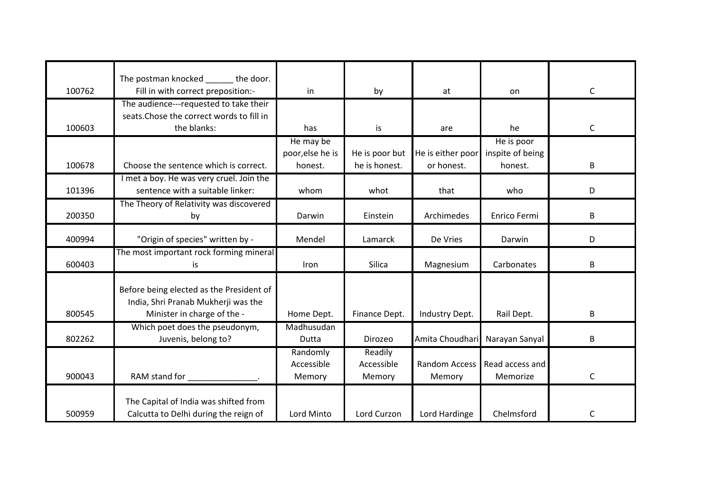|        | The postman knocked the door.                 |                  |                |                                |                  |              |
|--------|-----------------------------------------------|------------------|----------------|--------------------------------|------------------|--------------|
| 100762 | Fill in with correct preposition:-            | in               | by             | at                             | on               | $\mathsf{C}$ |
|        | The audience---requested to take their        |                  |                |                                |                  |              |
|        | seats. Chose the correct words to fill in     |                  |                |                                |                  |              |
| 100603 | the blanks:                                   | has              | is             | are                            | he               | $\mathsf C$  |
|        |                                               | He may be        |                |                                | He is poor       |              |
|        |                                               | poor, else he is | He is poor but | He is either poor              | inspite of being |              |
| 100678 | Choose the sentence which is correct.         | honest.          | he is honest.  | or honest.                     | honest.          | B            |
|        | I met a boy. He was very cruel. Join the      |                  |                |                                |                  |              |
| 101396 | sentence with a suitable linker:              | whom             | whot           | that                           | who              | D            |
|        | The Theory of Relativity was discovered       |                  |                |                                |                  |              |
| 200350 | by                                            | Darwin           | Einstein       | Archimedes                     | Enrico Fermi     | B            |
|        |                                               |                  |                |                                |                  |              |
| 400994 | "Origin of species" written by -              | Mendel           | Lamarck        | De Vries                       | Darwin           | D            |
|        | The most important rock forming mineral       |                  |                |                                |                  |              |
| 600403 | is                                            | Iron             | Silica         | Magnesium                      | Carbonates       | B            |
|        |                                               |                  |                |                                |                  |              |
|        | Before being elected as the President of      |                  |                |                                |                  |              |
|        | India, Shri Pranab Mukherji was the           |                  |                |                                |                  |              |
| 800545 | Minister in charge of the -                   | Home Dept.       | Finance Dept.  | Industry Dept.                 | Rail Dept.       | B            |
|        | Which poet does the pseudonym,                | Madhusudan       |                |                                |                  |              |
| 802262 | Juvenis, belong to?                           | Dutta            | Dirozeo        | Amita Choudhari Narayan Sanyal |                  | B            |
|        |                                               | Randomly         | Readily        |                                |                  |              |
|        |                                               | Accessible       | Accessible     | Random Access                  | Read access and  |              |
| 900043 | RAM stand for<br>and the contract of the con- | Memory           | Memory         | Memory                         | Memorize         | $\mathsf C$  |
|        |                                               |                  |                |                                |                  |              |
|        | The Capital of India was shifted from         |                  |                |                                |                  |              |
| 500959 | Calcutta to Delhi during the reign of         | Lord Minto       | Lord Curzon    | Lord Hardinge                  | Chelmsford       | C            |